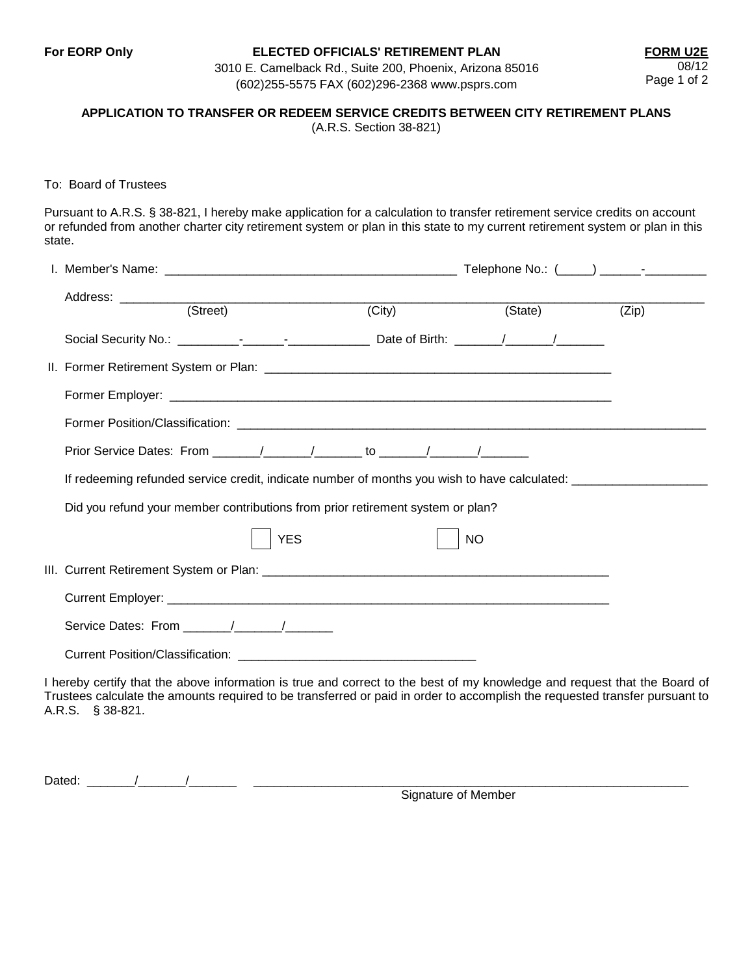# **For EORP Only ELECTED OFFICIALS' RETIREMENT PLAN FORM U2E**

3010 E. Camelback Rd., Suite 200, Phoenix, Arizona 85016 (602)255-5575 FAX (602)296-2368 www.psprs.com

# **APPLICATION TO TRANSFER OR REDEEM SERVICE CREDITS BETWEEN CITY RETIREMENT PLANS**

(A.R.S. Section 38-821)

### To: Board of Trustees

Pursuant to A.R.S. § 38-821, I hereby make application for a calculation to transfer retirement service credits on account or refunded from another charter city retirement system or plan in this state to my current retirement system or plan in this state.

|  |                                                                                                                                                                                                                                                                              | $\overline{(City)}$ | (State)   | (Zip) |
|--|------------------------------------------------------------------------------------------------------------------------------------------------------------------------------------------------------------------------------------------------------------------------------|---------------------|-----------|-------|
|  |                                                                                                                                                                                                                                                                              |                     |           |       |
|  |                                                                                                                                                                                                                                                                              |                     |           |       |
|  |                                                                                                                                                                                                                                                                              |                     |           |       |
|  |                                                                                                                                                                                                                                                                              |                     |           |       |
|  |                                                                                                                                                                                                                                                                              |                     |           |       |
|  | If redeeming refunded service credit, indicate number of months you wish to have calculated:                                                                                                                                                                                 |                     |           |       |
|  | Did you refund your member contributions from prior retirement system or plan?                                                                                                                                                                                               |                     |           |       |
|  | <b>YES</b>                                                                                                                                                                                                                                                                   |                     | <b>NO</b> |       |
|  |                                                                                                                                                                                                                                                                              |                     |           |       |
|  |                                                                                                                                                                                                                                                                              |                     |           |       |
|  |                                                                                                                                                                                                                                                                              |                     |           |       |
|  |                                                                                                                                                                                                                                                                              |                     |           |       |
|  | I hereby certify that the above information is true and correct to the best of my knowledge and request that the Board of<br>Trustees calculate the amounts required to be transferred or paid in order to accomplish the requested transfer pursuant to<br>A.R.S. § 38-821. |                     |           |       |

Dated:  $\qquad \qquad /$  /

Signature of Member